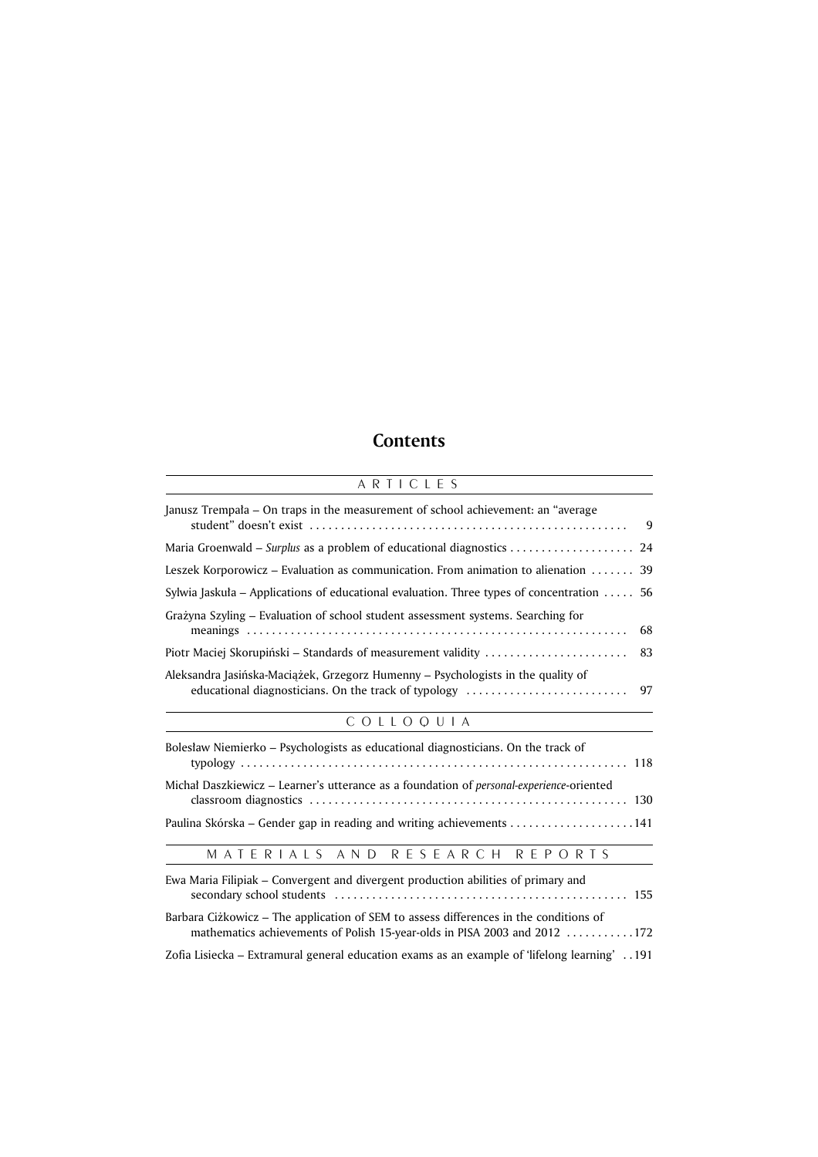## **Contents**

| ARTICLES                                                                                                                                       |
|------------------------------------------------------------------------------------------------------------------------------------------------|
| Janusz Trempała – On traps in the measurement of school achievement: an "average<br>9                                                          |
| Maria Groenwald – Surplus as a problem of educational diagnostics<br>24                                                                        |
| Leszek Korporowicz – Evaluation as communication. From animation to alienation<br>39                                                           |
| Sylwia Jaskuła – Applications of educational evaluation. Three types of concentration<br>56                                                    |
| Grażyna Szyling – Evaluation of school student assessment systems. Searching for<br>68                                                         |
| Piotr Maciej Skorupiński – Standards of measurement validity<br>83                                                                             |
| Aleksandra Jasińska-Maciążek, Grzegorz Humenny – Psychologists in the quality of<br>educational diagnosticians. On the track of typology<br>97 |
| COLLOQUIA                                                                                                                                      |
| Bolesław Niemierko – Psychologists as educational diagnosticians. On the track of                                                              |
| Michał Daszkiewicz – Learner's utterance as a foundation of <i>personal-experience</i> -oriented                                               |
|                                                                                                                                                |
| MATERIALS AND RESEARCH REPORTS                                                                                                                 |

| Ewa Maria Filipiak – Convergent and divergent production abilities of primary and                                                                                  |
|--------------------------------------------------------------------------------------------------------------------------------------------------------------------|
| Barbara Ciżkowicz – The application of SEM to assess differences in the conditions of<br>mathematics achievements of Polish 15-year-olds in PISA 2003 and 2012 172 |
| 191. . [19] Zofia Lisiecka – Extramural general education exams as an example of 'lifelong learning'                                                               |